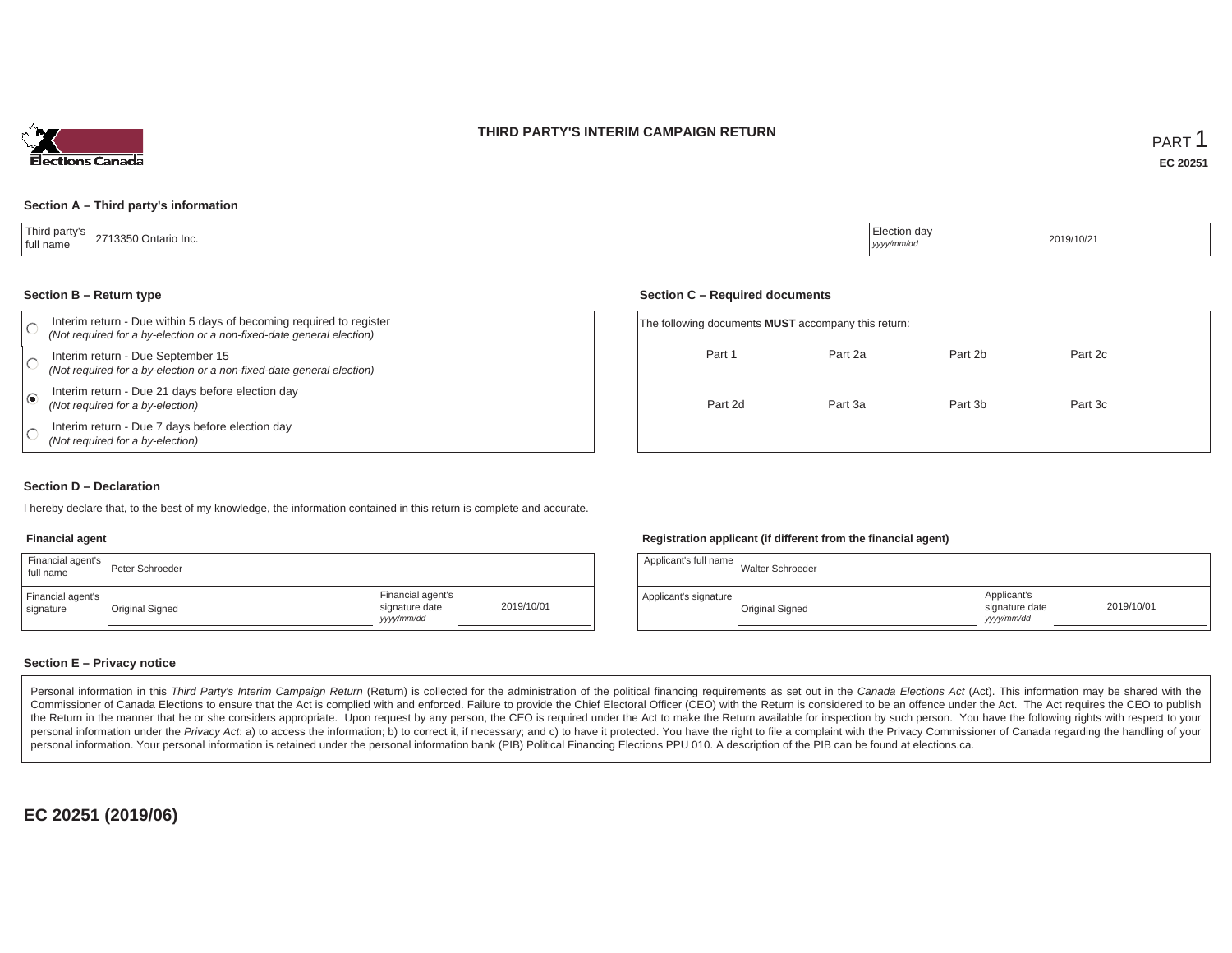



#### **Section A – Third party's information**

| Third party's<br>್0 Ontario Inc.<br><b>ി713350</b> പ<br>full name | :lection dav<br>yyyy/mm/dd | 2019/10/21 |
|-------------------------------------------------------------------|----------------------------|------------|
|-------------------------------------------------------------------|----------------------------|------------|

#### **Section B – Return type**

| Interim return - Due within 5 days of becoming required to register<br>(Not required for a by-election or a non-fixed-date general election) | The following documents <b>MUST</b> accompany this return: |  |
|----------------------------------------------------------------------------------------------------------------------------------------------|------------------------------------------------------------|--|
| Interim return - Due September 15<br>(Not required for a by-election or a non-fixed-date general election)                                   | Part 1<br>Part 2a                                          |  |
| Interim return - Due 21 days before election day<br>(Not required for a by-election)                                                         | Part 2d<br>Part 3a                                         |  |
| Interim return - Due 7 days before election day<br>(Not required for a by-election)                                                          |                                                            |  |

#### **Section C – Required documents**

| The following documents <b>MUST</b> accompany this return: |         |         |         |  |  |  |  |  |  |  |
|------------------------------------------------------------|---------|---------|---------|--|--|--|--|--|--|--|
| Part 1                                                     | Part 2a | Part 2b | Part 2c |  |  |  |  |  |  |  |
| Part 2d                                                    | Part 3a | Part 3b | Part 3c |  |  |  |  |  |  |  |

#### **Section D – Declaration**

I hereby declare that, to the best of my knowledge, the information contained in this return is complete and accurate.

## **Financial agent**

| Financial agent's<br>full name | Peter Schroeder |                                                  |            |
|--------------------------------|-----------------|--------------------------------------------------|------------|
| Financial agent's<br>signature | Original Signed | Financial agent's<br>signature date<br>vyy/mm/dd | 2019/10/01 |

## **Registration applicant (if different from the financial agent)**

| Applicant's full name | Walter Schroeder |                                             |            |
|-----------------------|------------------|---------------------------------------------|------------|
| Applicant's signature | Original Signed  | Applicant's<br>signature date<br>yyyy/mm/dd | 2019/10/01 |

## **Section E – Privacy notice**

Personal information in this Third Party's Interim Campaign Return (Return) is collected for the administration of the political financing requirements as set out in the Canada Elections Act (Act). This information may be Commissioner of Canada Elections to ensure that the Act is complied with and enforced. Failure to provide the Chief Electoral Officer (CEO) with the Return is considered to be an offence under the Act. The Act requires the the Return in the manner that he or she considers appropriate. Upon request by any person, the CEO is required under the Act to make the Return available for inspection by such person. You have the following rights with re personal information under the Privacy Act. a) to access the information; b) to correct it, if necessary; and c) to have it protected. You have the right to file a complaint with the Privacy Commissioner of Canada regardin personal information. Your personal information is retained under the personal information bank (PIB) Political Financing Elections PPU 010. A description of the PIB can be found at elections.ca.

**EC 20251 (2019/06)**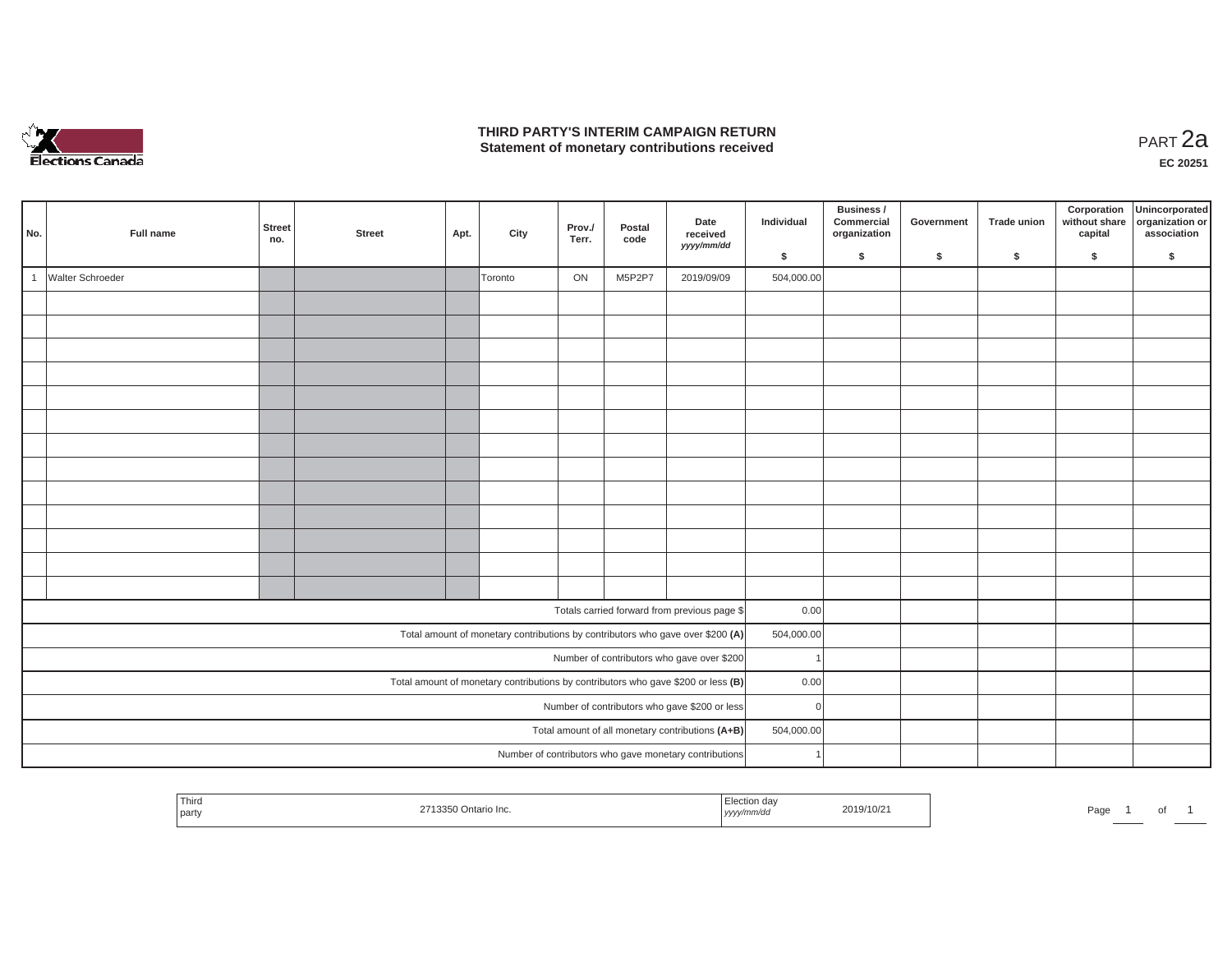

### **THIRD PARTY'S INTERIM CAMPAIGN RETURN THIRD PARTY'S INTERIM CAMPAIGN RETURN<br>Statement of monetary contributions received PART 2a**

| No.                                                                                 |  | Full name        | Street<br>no. | <b>Street</b> | Apt. | City    | Prov./<br>Terr. | Postal<br>code | Date<br>received<br>yyyy/mm/dd                                                 | Individual | Business /<br>Commercial<br>organization | Government | <b>Trade union</b> | Corporation<br>without share<br>capital | Unincorporated<br>organization or<br>association |
|-------------------------------------------------------------------------------------|--|------------------|---------------|---------------|------|---------|-----------------|----------------|--------------------------------------------------------------------------------|------------|------------------------------------------|------------|--------------------|-----------------------------------------|--------------------------------------------------|
|                                                                                     |  |                  |               |               |      |         |                 |                |                                                                                | \$         | \$                                       | \$         | $\mathsf{s}$       | \$                                      | \$                                               |
|                                                                                     |  | Walter Schroeder |               |               |      | Toronto | ON              | M5P2P7         | 2019/09/09                                                                     | 504,000.00 |                                          |            |                    |                                         |                                                  |
|                                                                                     |  |                  |               |               |      |         |                 |                |                                                                                |            |                                          |            |                    |                                         |                                                  |
|                                                                                     |  |                  |               |               |      |         |                 |                |                                                                                |            |                                          |            |                    |                                         |                                                  |
|                                                                                     |  |                  |               |               |      |         |                 |                |                                                                                |            |                                          |            |                    |                                         |                                                  |
|                                                                                     |  |                  |               |               |      |         |                 |                |                                                                                |            |                                          |            |                    |                                         |                                                  |
|                                                                                     |  |                  |               |               |      |         |                 |                |                                                                                |            |                                          |            |                    |                                         |                                                  |
|                                                                                     |  |                  |               |               |      |         |                 |                |                                                                                |            |                                          |            |                    |                                         |                                                  |
|                                                                                     |  |                  |               |               |      |         |                 |                |                                                                                |            |                                          |            |                    |                                         |                                                  |
|                                                                                     |  |                  |               |               |      |         |                 |                |                                                                                |            |                                          |            |                    |                                         |                                                  |
|                                                                                     |  |                  |               |               |      |         |                 |                |                                                                                |            |                                          |            |                    |                                         |                                                  |
|                                                                                     |  |                  |               |               |      |         |                 |                |                                                                                |            |                                          |            |                    |                                         |                                                  |
|                                                                                     |  |                  |               |               |      |         |                 |                |                                                                                |            |                                          |            |                    |                                         |                                                  |
|                                                                                     |  |                  |               |               |      |         |                 |                |                                                                                |            |                                          |            |                    |                                         |                                                  |
|                                                                                     |  |                  |               |               |      |         |                 |                |                                                                                |            |                                          |            |                    |                                         |                                                  |
|                                                                                     |  |                  |               |               |      |         |                 |                | Totals carried forward from previous page \$                                   | 0.00       |                                          |            |                    |                                         |                                                  |
|                                                                                     |  |                  |               |               |      |         |                 |                | Total amount of monetary contributions by contributors who gave over \$200 (A) | 504,000.00 |                                          |            |                    |                                         |                                                  |
|                                                                                     |  |                  |               |               |      |         |                 |                | Number of contributors who gave over \$200                                     |            |                                          |            |                    |                                         |                                                  |
| Total amount of monetary contributions by contributors who gave \$200 or less $(B)$ |  |                  |               |               |      |         |                 | 0.00           |                                                                                |            |                                          |            |                    |                                         |                                                  |
| Number of contributors who gave \$200 or less                                       |  |                  |               |               |      |         | $\Omega$        |                |                                                                                |            |                                          |            |                    |                                         |                                                  |
|                                                                                     |  |                  |               |               |      |         |                 |                | Total amount of all monetary contributions (A+B)                               | 504,000.00 |                                          |            |                    |                                         |                                                  |
|                                                                                     |  |                  |               |               |      |         |                 |                | Number of contributors who gave monetary contributions                         |            |                                          |            |                    |                                         |                                                  |
|                                                                                     |  |                  |               |               |      |         |                 |                |                                                                                |            |                                          |            |                    |                                         |                                                  |

| <sup>1</sup> Third<br>I party | $\sim$<br>-Inc.<br>ontario 1 | 2019/10/2<br>,,,,, | Page<br>ັ |
|-------------------------------|------------------------------|--------------------|-----------|
|-------------------------------|------------------------------|--------------------|-----------|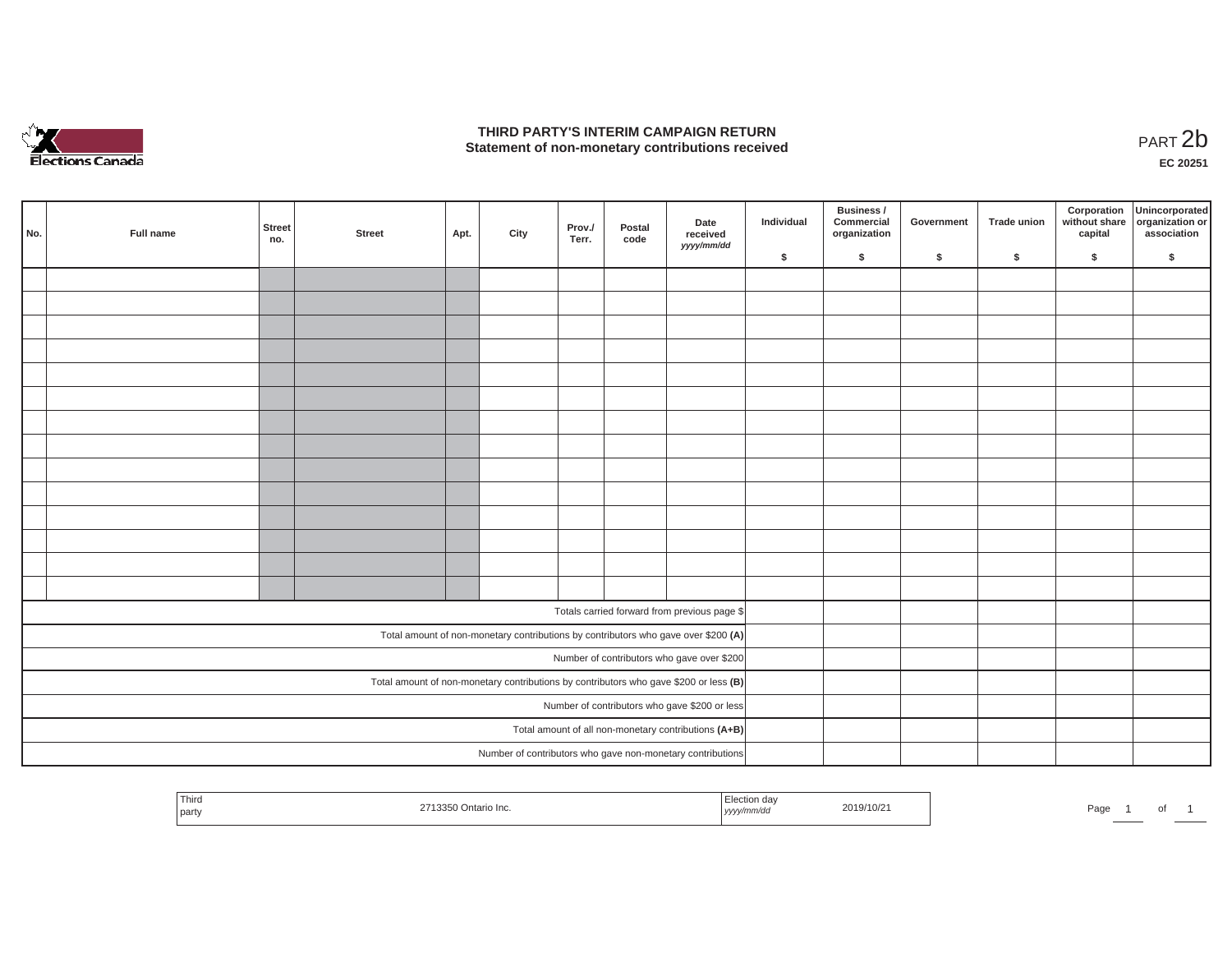

### **THIRD PARTY'S INTERIM CAMPAIGN RETURN**  THIRD PARTY'S INTERIM CAMPAIGN RETURN<br>Statement of non-monetary contributions received<br>**PART 2**b

**EC 20251**

| No. | Full name | Street<br>no. | <b>Street</b> | Apt. | City | Prov./<br>Terr. | Postal<br>code | Date<br>received<br>yyyy/mm/dd                                                        | Individual | Business /<br>Commercial<br>organization | Government | Trade union | Corporation<br>capital | Unincorporated<br>without share organization or<br>association |
|-----|-----------|---------------|---------------|------|------|-----------------|----------------|---------------------------------------------------------------------------------------|------------|------------------------------------------|------------|-------------|------------------------|----------------------------------------------------------------|
|     |           |               |               |      |      |                 |                |                                                                                       | \$         | $\mathsf{s}$                             | \$         | $\sqrt{2}$  | \$                     | \$                                                             |
|     |           |               |               |      |      |                 |                |                                                                                       |            |                                          |            |             |                        |                                                                |
|     |           |               |               |      |      |                 |                |                                                                                       |            |                                          |            |             |                        |                                                                |
|     |           |               |               |      |      |                 |                |                                                                                       |            |                                          |            |             |                        |                                                                |
|     |           |               |               |      |      |                 |                |                                                                                       |            |                                          |            |             |                        |                                                                |
|     |           |               |               |      |      |                 |                |                                                                                       |            |                                          |            |             |                        |                                                                |
|     |           |               |               |      |      |                 |                |                                                                                       |            |                                          |            |             |                        |                                                                |
|     |           |               |               |      |      |                 |                |                                                                                       |            |                                          |            |             |                        |                                                                |
|     |           |               |               |      |      |                 |                |                                                                                       |            |                                          |            |             |                        |                                                                |
|     |           |               |               |      |      |                 |                |                                                                                       |            |                                          |            |             |                        |                                                                |
|     |           |               |               |      |      |                 |                |                                                                                       |            |                                          |            |             |                        |                                                                |
|     |           |               |               |      |      |                 |                |                                                                                       |            |                                          |            |             |                        |                                                                |
|     |           |               |               |      |      |                 |                |                                                                                       |            |                                          |            |             |                        |                                                                |
|     |           |               |               |      |      |                 |                |                                                                                       |            |                                          |            |             |                        |                                                                |
|     |           |               |               |      |      |                 |                |                                                                                       |            |                                          |            |             |                        |                                                                |
|     |           |               |               |      |      |                 |                |                                                                                       |            |                                          |            |             |                        |                                                                |
|     |           |               |               |      |      |                 |                | Totals carried forward from previous page \$                                          |            |                                          |            |             |                        |                                                                |
|     |           |               |               |      |      |                 |                | Total amount of non-monetary contributions by contributors who gave over \$200 (A)    |            |                                          |            |             |                        |                                                                |
|     |           |               |               |      |      |                 |                | Number of contributors who gave over \$200                                            |            |                                          |            |             |                        |                                                                |
|     |           |               |               |      |      |                 |                | Total amount of non-monetary contributions by contributors who gave \$200 or less (B) |            |                                          |            |             |                        |                                                                |
|     |           |               |               |      |      |                 |                | Number of contributors who gave \$200 or less                                         |            |                                          |            |             |                        |                                                                |
|     |           |               |               |      |      |                 |                | Total amount of all non-monetary contributions (A+B)                                  |            |                                          |            |             |                        |                                                                |
|     |           |               |               |      |      |                 |                | Number of contributors who gave non-monetary contributions                            |            |                                          |            |             |                        |                                                                |
|     |           |               |               |      |      |                 |                |                                                                                       |            |                                          |            |             |                        |                                                                |

| Third<br>party | 2742<br>Ontario Inc.<br>スストル<br>. | ction<br>ua<br>2019/10/2<br>iriyaa<br>, yyyyı | Pag.<br>ັບເ |
|----------------|-----------------------------------|-----------------------------------------------|-------------|
|----------------|-----------------------------------|-----------------------------------------------|-------------|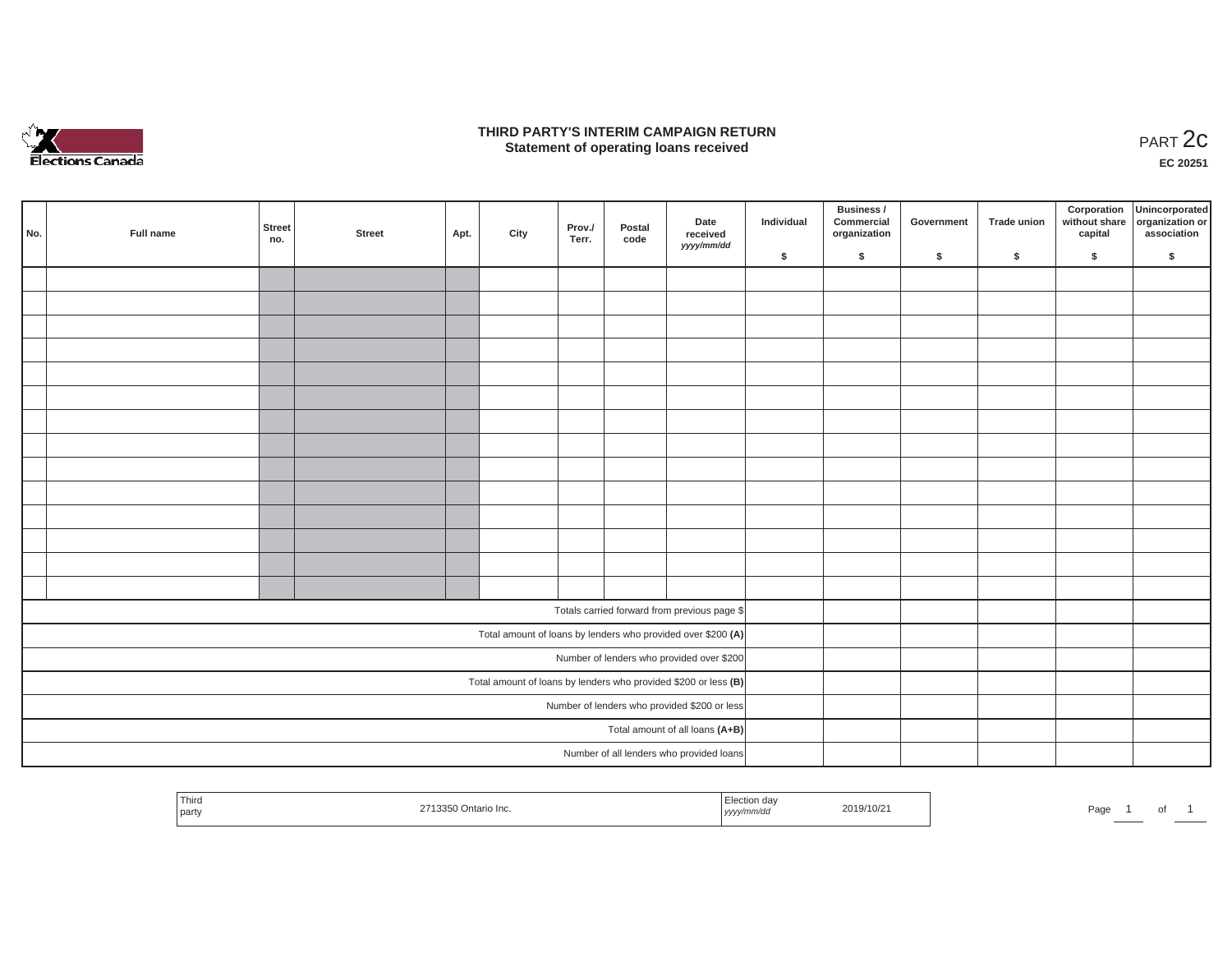

#### **THIRD PARTY'S INTERIM CAMPAIGN RETURN**  RD PARTY'S INTERIM CAMPAIGN RETURN<br>Statement of operating loans received **PART 2c**

**EC 20251**

| No. | Full name | <b>Street</b><br>no. | <b>Street</b> | Apt. | City | Prov./<br>Terr. | Postal<br>code | Date<br>received<br>yyyy/mm/dd                                    | Individual | Business /<br>Commercial<br>organization | Government | Trade union | Corporation<br>capital | Unincorporated<br>without share organization or<br>association |
|-----|-----------|----------------------|---------------|------|------|-----------------|----------------|-------------------------------------------------------------------|------------|------------------------------------------|------------|-------------|------------------------|----------------------------------------------------------------|
|     |           |                      |               |      |      |                 |                |                                                                   | \$         | \$                                       | \$         | \$          | \$                     | \$                                                             |
|     |           |                      |               |      |      |                 |                |                                                                   |            |                                          |            |             |                        |                                                                |
|     |           |                      |               |      |      |                 |                |                                                                   |            |                                          |            |             |                        |                                                                |
|     |           |                      |               |      |      |                 |                |                                                                   |            |                                          |            |             |                        |                                                                |
|     |           |                      |               |      |      |                 |                |                                                                   |            |                                          |            |             |                        |                                                                |
|     |           |                      |               |      |      |                 |                |                                                                   |            |                                          |            |             |                        |                                                                |
|     |           |                      |               |      |      |                 |                |                                                                   |            |                                          |            |             |                        |                                                                |
|     |           |                      |               |      |      |                 |                |                                                                   |            |                                          |            |             |                        |                                                                |
|     |           |                      |               |      |      |                 |                |                                                                   |            |                                          |            |             |                        |                                                                |
|     |           |                      |               |      |      |                 |                |                                                                   |            |                                          |            |             |                        |                                                                |
|     |           |                      |               |      |      |                 |                |                                                                   |            |                                          |            |             |                        |                                                                |
|     |           |                      |               |      |      |                 |                |                                                                   |            |                                          |            |             |                        |                                                                |
|     |           |                      |               |      |      |                 |                |                                                                   |            |                                          |            |             |                        |                                                                |
|     |           |                      |               |      |      |                 |                |                                                                   |            |                                          |            |             |                        |                                                                |
|     |           |                      |               |      |      |                 |                |                                                                   |            |                                          |            |             |                        |                                                                |
|     |           |                      |               |      |      |                 |                | Totals carried forward from previous page \$                      |            |                                          |            |             |                        |                                                                |
|     |           |                      |               |      |      |                 |                | Total amount of loans by lenders who provided over \$200 (A)      |            |                                          |            |             |                        |                                                                |
|     |           |                      |               |      |      |                 |                | Number of lenders who provided over \$200                         |            |                                          |            |             |                        |                                                                |
|     |           |                      |               |      |      |                 |                | Total amount of loans by lenders who provided \$200 or less $(B)$ |            |                                          |            |             |                        |                                                                |
|     |           |                      |               |      |      |                 |                | Number of lenders who provided \$200 or less                      |            |                                          |            |             |                        |                                                                |
|     |           |                      |               |      |      |                 |                | Total amount of all loans (A+B)                                   |            |                                          |            |             |                        |                                                                |
|     |           |                      |               |      |      |                 |                | Number of all lenders who provided loans                          |            |                                          |            |             |                        |                                                                |

| Thiro<br>Election dav<br>2019/10/21<br>2713350 Ontario Inc.<br>party<br>yyyy/mm/aa | Page |
|------------------------------------------------------------------------------------|------|
|------------------------------------------------------------------------------------|------|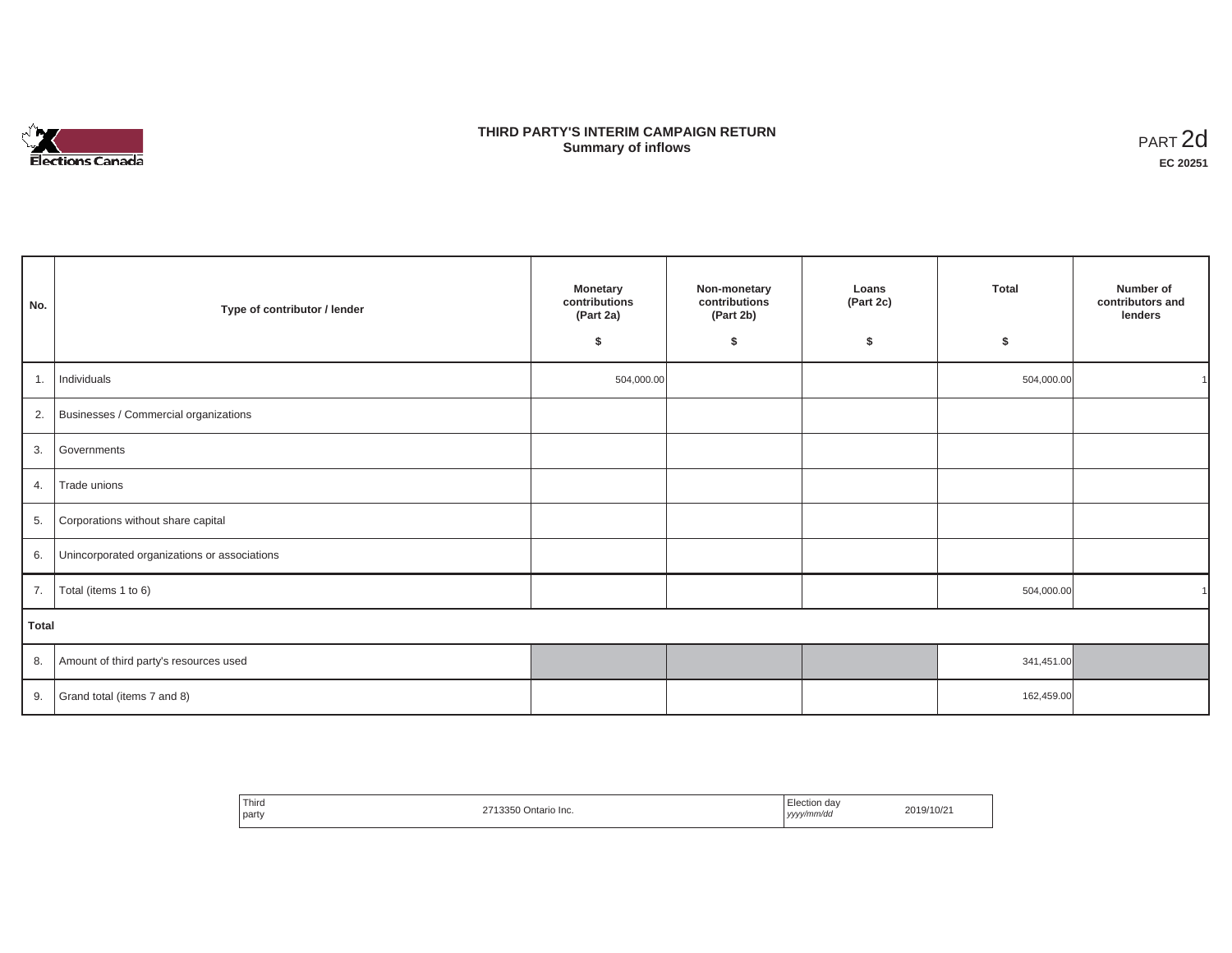

## **THIRD PARTY'S INTERIM CAMPAIGN RETURN SUMMARY STATE SUMMARY OF A SUMMARY OF A SUMMARY OF A SUMMARY OF A SUMMARY OF A SUMMARY OF A SUMMARY OF A SUMMA**<br> **Summary of inflows**

| No.   | Type of contributor / lender                    | <b>Monetary</b><br>contributions<br>(Part 2a)<br>\$ | Non-monetary<br>contributions<br>(Part 2b)<br>\$ | Loans<br>(Part 2c)<br>\$ | Total<br>\$ | Number of<br>contributors and<br>lenders |  |  |  |
|-------|-------------------------------------------------|-----------------------------------------------------|--------------------------------------------------|--------------------------|-------------|------------------------------------------|--|--|--|
|       | 1.   Individuals                                | 504,000.00                                          |                                                  |                          | 504,000.00  |                                          |  |  |  |
|       | 2. Businesses / Commercial organizations        |                                                     |                                                  |                          |             |                                          |  |  |  |
| 3.    | Governments                                     |                                                     |                                                  |                          |             |                                          |  |  |  |
| 4.    | Trade unions                                    |                                                     |                                                  |                          |             |                                          |  |  |  |
| 5.    | Corporations without share capital              |                                                     |                                                  |                          |             |                                          |  |  |  |
|       | 6. Unincorporated organizations or associations |                                                     |                                                  |                          |             |                                          |  |  |  |
|       | 7. $\boxed{\text{Total (items 1 to 6)}}$        |                                                     |                                                  |                          | 504,000.00  |                                          |  |  |  |
| Total |                                                 |                                                     |                                                  |                          |             |                                          |  |  |  |
| 8.    | Amount of third party's resources used          |                                                     |                                                  |                          | 341,451.00  |                                          |  |  |  |
| 9.    | Grand total (items 7 and 8)                     |                                                     |                                                  |                          | 162,459.00  |                                          |  |  |  |

| Third<br>party | 1356<br>Ontario Inc. | Election da∖<br>yyyy/mm/dd | 2019/10/21 |
|----------------|----------------------|----------------------------|------------|
|----------------|----------------------|----------------------------|------------|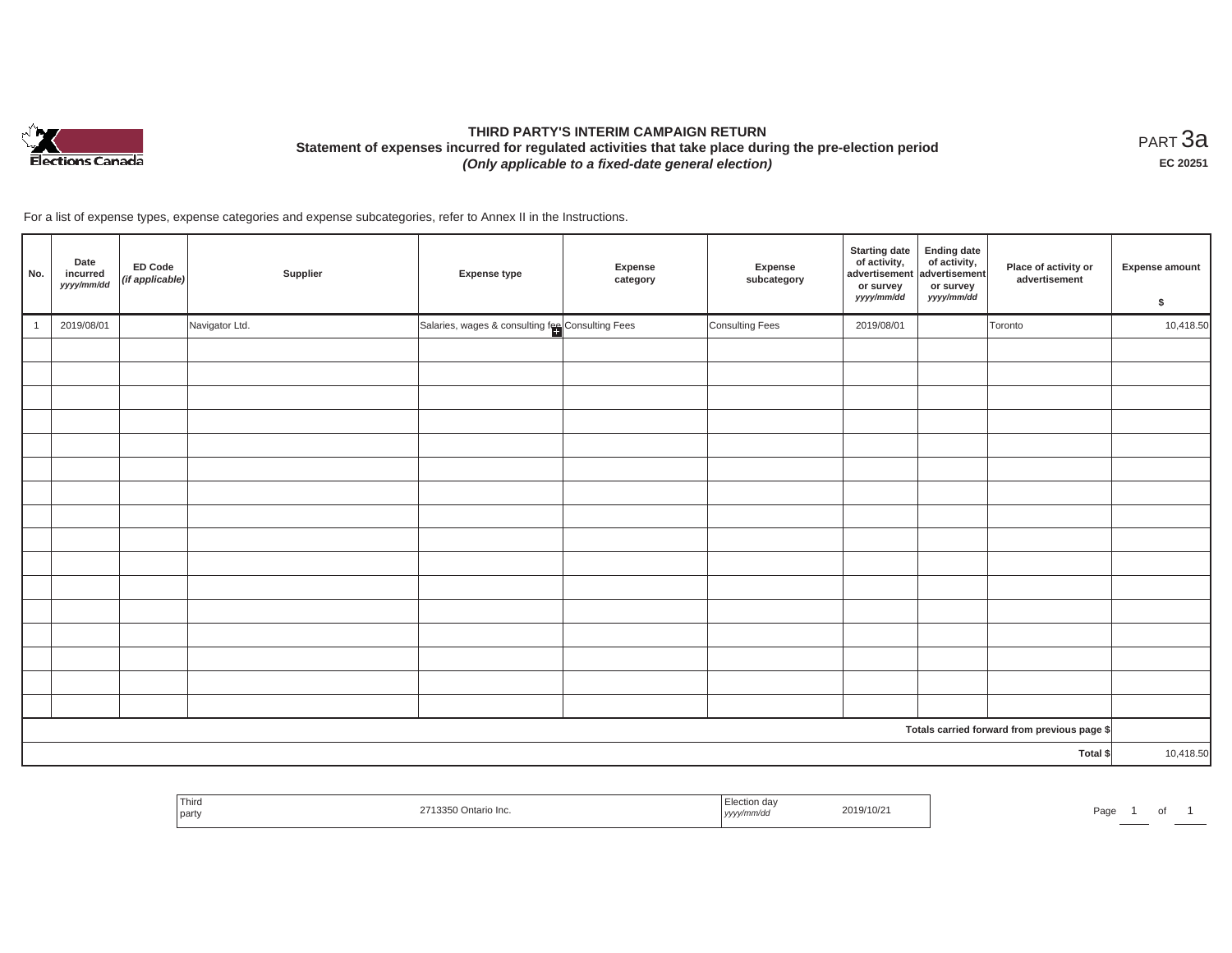

# **THIRD PARTY'S INTERIM CAMPAIGN RETURN Statement of expenses incurred for regulated activities that take place during the pre-election period**  *(Only applicable to a fixed-date general election)*

<code>PART $3$ a</code> **EC 20251**

For a list of expense types, expense categories and expense subcategories, refer to Annex II in the Instructions.

| No. | Date<br>incurred<br>yyyy/mm/dd | ED Code<br>(if applicable) | Supplier       | Expense type                                     | Expense<br>category | Expense<br>subcategory | <b>Starting date</b><br>of activity,<br>advertisement<br>or survey<br>yyyy/mm/dd | <b>Ending date</b><br>of activity,<br>advertisement<br>or survey<br>yyyy/mm/dd | Place of activity or<br>advertisement        | <b>Expense amount</b><br>\$ |
|-----|--------------------------------|----------------------------|----------------|--------------------------------------------------|---------------------|------------------------|----------------------------------------------------------------------------------|--------------------------------------------------------------------------------|----------------------------------------------|-----------------------------|
|     | 2019/08/01                     |                            | Navigator Ltd. | Salaries, wages & consulting fee Consulting Fees |                     | Consulting Fees        | 2019/08/01                                                                       |                                                                                | Toronto                                      | 10,418.50                   |
|     |                                |                            |                |                                                  |                     |                        |                                                                                  |                                                                                |                                              |                             |
|     |                                |                            |                |                                                  |                     |                        |                                                                                  |                                                                                |                                              |                             |
|     |                                |                            |                |                                                  |                     |                        |                                                                                  |                                                                                |                                              |                             |
|     |                                |                            |                |                                                  |                     |                        |                                                                                  |                                                                                |                                              |                             |
|     |                                |                            |                |                                                  |                     |                        |                                                                                  |                                                                                |                                              |                             |
|     |                                |                            |                |                                                  |                     |                        |                                                                                  |                                                                                |                                              |                             |
|     |                                |                            |                |                                                  |                     |                        |                                                                                  |                                                                                |                                              |                             |
|     |                                |                            |                |                                                  |                     |                        |                                                                                  |                                                                                |                                              |                             |
|     |                                |                            |                |                                                  |                     |                        |                                                                                  |                                                                                |                                              |                             |
|     |                                |                            |                |                                                  |                     |                        |                                                                                  |                                                                                |                                              |                             |
|     |                                |                            |                |                                                  |                     |                        |                                                                                  |                                                                                |                                              |                             |
|     |                                |                            |                |                                                  |                     |                        |                                                                                  |                                                                                |                                              |                             |
|     |                                |                            |                |                                                  |                     |                        |                                                                                  |                                                                                |                                              |                             |
|     |                                |                            |                |                                                  |                     |                        |                                                                                  |                                                                                |                                              |                             |
|     |                                |                            |                |                                                  |                     |                        |                                                                                  |                                                                                |                                              |                             |
|     |                                |                            |                |                                                  |                     |                        |                                                                                  |                                                                                |                                              |                             |
|     |                                |                            |                |                                                  |                     |                        |                                                                                  |                                                                                | Totals carried forward from previous page \$ |                             |
|     |                                |                            |                |                                                  |                     |                        |                                                                                  |                                                                                | Total \$                                     | 10,418.50                   |

| THIO<br>party | . | $219/10/z$ .<br>.<br>. | aus<br>. |
|---------------|---|------------------------|----------|
|---------------|---|------------------------|----------|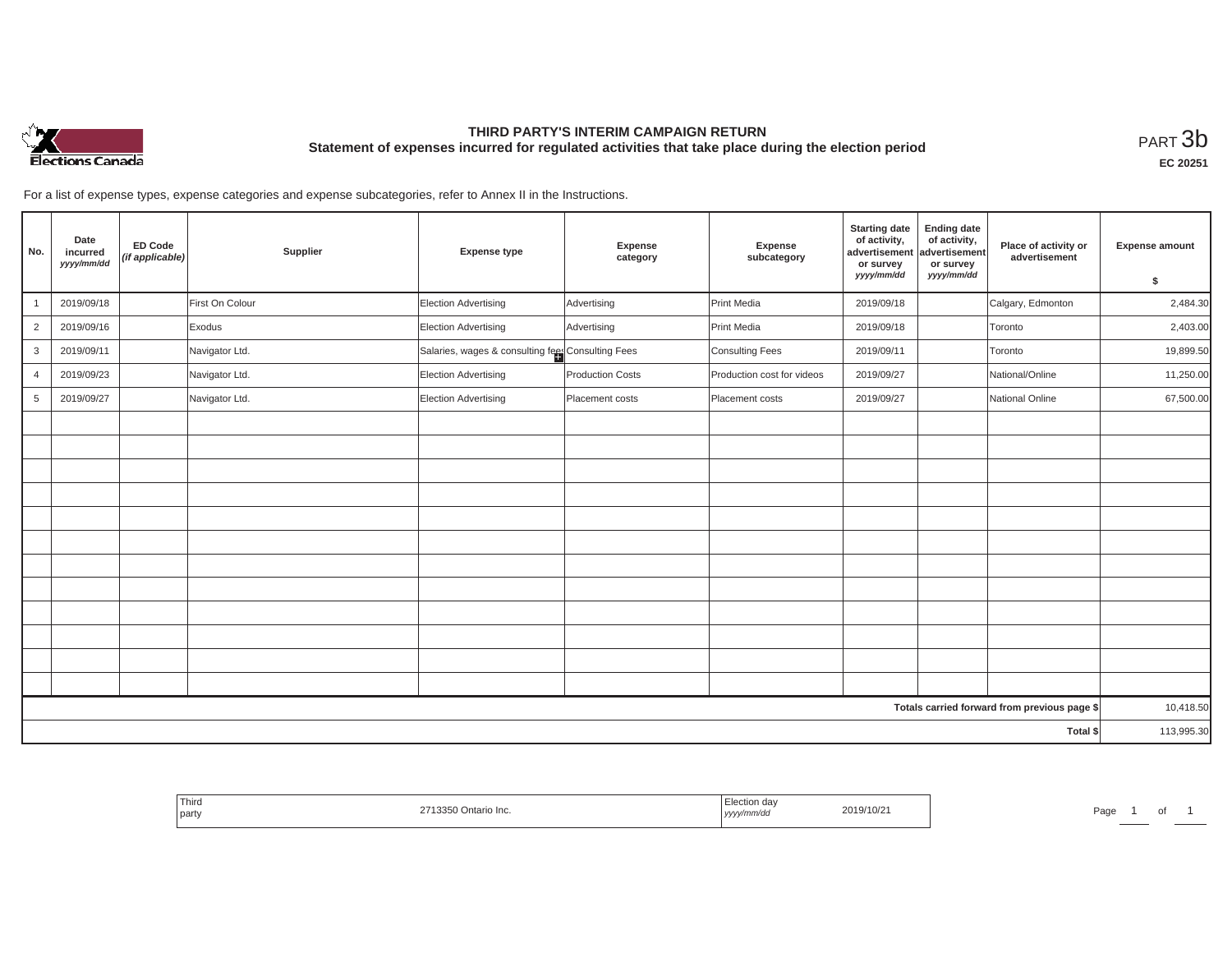

## **THIRD PARTY'S INTERIM CAMPAIGN RETURN Statement of expenses incurred for regulated activities that take place during the election period**<br>РАRТ  $3\mathrm{b}$

**EC 20251**

For a list of expense types, expense categories and expense subcategories, refer to Annex II in the Instructions.

| No.            | Date<br>incurred<br>yyyy/mm/dd | <b>ED Code</b><br>(if applicable) | Supplier        | <b>Expense type</b>                               | Expense<br>category     | Expense<br>subcategory     | <b>Starting date</b><br>of activity,<br>advertisement<br>or survey<br>yyyy/mm/dd | <b>Ending date</b><br>of activity,<br>advertisement<br>or survey<br>yyyy/mm/dd | Place of activity or<br>advertisement        | <b>Expense amount</b><br>\$ |
|----------------|--------------------------------|-----------------------------------|-----------------|---------------------------------------------------|-------------------------|----------------------------|----------------------------------------------------------------------------------|--------------------------------------------------------------------------------|----------------------------------------------|-----------------------------|
|                | 2019/09/18                     |                                   | First On Colour | Election Advertising                              | Advertising             | Print Media                | 2019/09/18                                                                       |                                                                                | Calgary, Edmonton                            | 2,484.30                    |
|                | 2019/09/16                     |                                   | Exodus          | Election Advertising                              | Advertising             | Print Media                | 2019/09/18                                                                       |                                                                                | Toronto                                      | 2,403.00                    |
| $\overline{2}$ |                                |                                   |                 |                                                   |                         |                            |                                                                                  |                                                                                |                                              |                             |
| 3              | 2019/09/11                     |                                   | Navigator Ltd.  | Salaries, wages & consulting fees Consulting Fees |                         | Consulting Fees            | 2019/09/11                                                                       |                                                                                | Toronto                                      | 19,899.50                   |
| $\overline{4}$ | 2019/09/23                     |                                   | Navigator Ltd.  | Election Advertising                              | <b>Production Costs</b> | Production cost for videos | 2019/09/27                                                                       |                                                                                | National/Online                              | 11,250.00                   |
| 5              | 2019/09/27                     |                                   | Navigator Ltd.  | Election Advertising                              | Placement costs         | Placement costs            | 2019/09/27                                                                       |                                                                                | National Online                              | 67,500.00                   |
|                |                                |                                   |                 |                                                   |                         |                            |                                                                                  |                                                                                |                                              |                             |
|                |                                |                                   |                 |                                                   |                         |                            |                                                                                  |                                                                                |                                              |                             |
|                |                                |                                   |                 |                                                   |                         |                            |                                                                                  |                                                                                |                                              |                             |
|                |                                |                                   |                 |                                                   |                         |                            |                                                                                  |                                                                                |                                              |                             |
|                |                                |                                   |                 |                                                   |                         |                            |                                                                                  |                                                                                |                                              |                             |
|                |                                |                                   |                 |                                                   |                         |                            |                                                                                  |                                                                                |                                              |                             |
|                |                                |                                   |                 |                                                   |                         |                            |                                                                                  |                                                                                |                                              |                             |
|                |                                |                                   |                 |                                                   |                         |                            |                                                                                  |                                                                                |                                              |                             |
|                |                                |                                   |                 |                                                   |                         |                            |                                                                                  |                                                                                |                                              |                             |
|                |                                |                                   |                 |                                                   |                         |                            |                                                                                  |                                                                                |                                              |                             |
|                |                                |                                   |                 |                                                   |                         |                            |                                                                                  |                                                                                |                                              |                             |
|                |                                |                                   |                 |                                                   |                         |                            |                                                                                  |                                                                                |                                              |                             |
|                |                                |                                   |                 |                                                   |                         |                            |                                                                                  |                                                                                |                                              |                             |
|                |                                |                                   |                 |                                                   |                         |                            |                                                                                  |                                                                                | Totals carried forward from previous page \$ | 10,418.50                   |
|                |                                |                                   |                 |                                                   |                         |                            |                                                                                  |                                                                                | Total \$                                     | 113,995.30                  |

| Thira<br>Ontario Inc.<br>party | 19/10/2<br>,,,,, | Page |
|--------------------------------|------------------|------|
|--------------------------------|------------------|------|